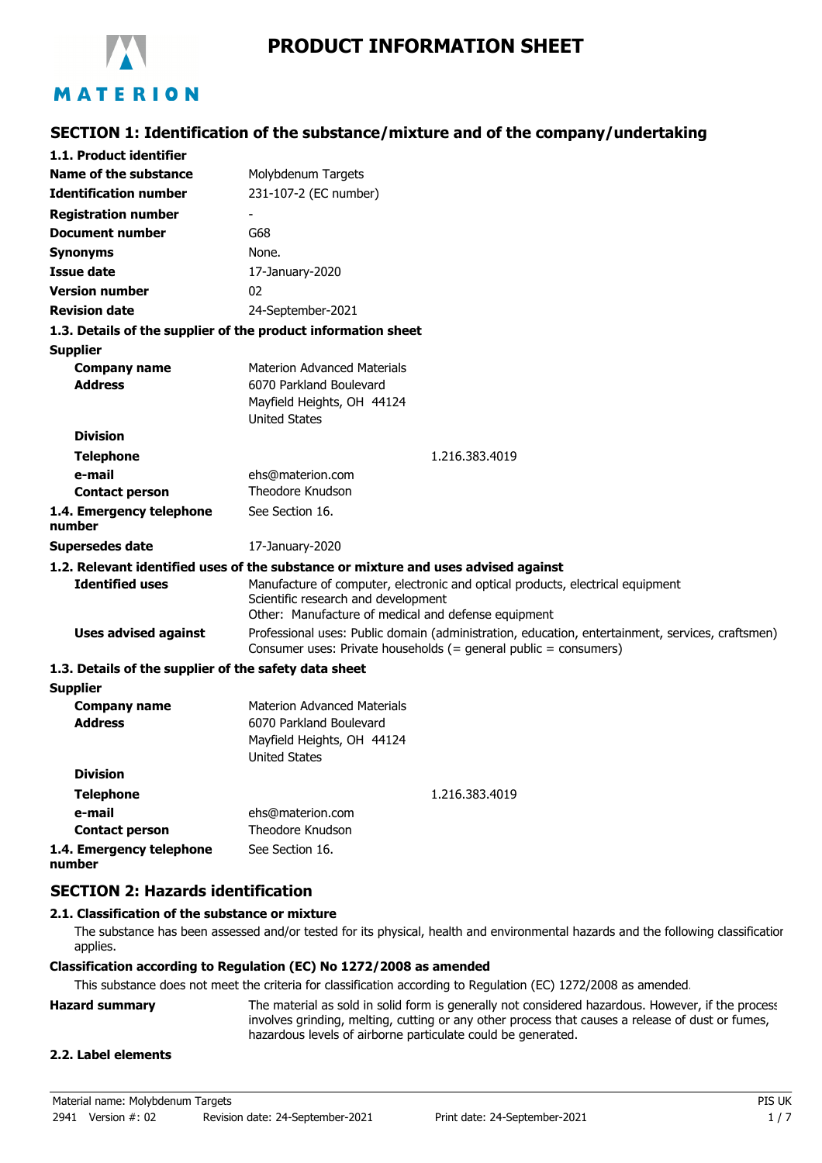

# **PRODUCT INFORMATION SHEET**

# **SECTION 1: Identification of the substance/mixture and of the company/undertaking**

| 1.1. Product identifier                               |                                                                                                  |
|-------------------------------------------------------|--------------------------------------------------------------------------------------------------|
| Name of the substance                                 | Molybdenum Targets                                                                               |
| <b>Identification number</b>                          | 231-107-2 (EC number)                                                                            |
| <b>Registration number</b>                            |                                                                                                  |
| <b>Document number</b>                                | G68                                                                                              |
| <b>Synonyms</b>                                       | None.                                                                                            |
| Issue date                                            | 17-January-2020                                                                                  |
| <b>Version number</b>                                 | 02                                                                                               |
| <b>Revision date</b>                                  | 24-September-2021                                                                                |
|                                                       | 1.3. Details of the supplier of the product information sheet                                    |
| <b>Supplier</b>                                       |                                                                                                  |
| <b>Company name</b>                                   | <b>Materion Advanced Materials</b>                                                               |
| <b>Address</b>                                        | 6070 Parkland Boulevard                                                                          |
|                                                       | Mayfield Heights, OH 44124                                                                       |
|                                                       | <b>United States</b>                                                                             |
| <b>Division</b>                                       |                                                                                                  |
| <b>Telephone</b>                                      | 1.216.383.4019                                                                                   |
| e-mail                                                | ehs@materion.com<br>Theodore Knudson                                                             |
| <b>Contact person</b>                                 |                                                                                                  |
| 1.4. Emergency telephone<br>number                    | See Section 16.                                                                                  |
| <b>Supersedes date</b>                                | 17-January-2020                                                                                  |
|                                                       | 1.2. Relevant identified uses of the substance or mixture and uses advised against               |
| <b>Identified uses</b>                                | Manufacture of computer, electronic and optical products, electrical equipment                   |
|                                                       | Scientific research and development<br>Other: Manufacture of medical and defense equipment       |
| <b>Uses advised against</b>                           | Professional uses: Public domain (administration, education, entertainment, services, craftsmen) |
|                                                       | Consumer uses: Private households (= general public = consumers)                                 |
| 1.3. Details of the supplier of the safety data sheet |                                                                                                  |
| <b>Supplier</b>                                       |                                                                                                  |
| <b>Company name</b>                                   | <b>Materion Advanced Materials</b>                                                               |
| <b>Address</b>                                        | 6070 Parkland Boulevard                                                                          |
|                                                       | Mayfield Heights, OH 44124                                                                       |
|                                                       | <b>United States</b>                                                                             |
| <b>Division</b>                                       |                                                                                                  |
| <b>Telephone</b>                                      | 1.216.383.4019                                                                                   |
| e-mail                                                | ehs@materion.com<br><b>Theodore Knudson</b>                                                      |
| <b>Contact person</b>                                 |                                                                                                  |
| 1.4. Emergency telephone                              | See Section 16.                                                                                  |

**1.4. Emergency telephone number**

## **SECTION 2: Hazards identification**

#### **2.1. Classification of the substance or mixture**

The substance has been assessed and/or tested for its physical, health and environmental hazards and the following classification applies.

#### **Classification according to Regulation (EC) No 1272/2008 as amended**

This substance does not meet the criteria for classification according to Regulation (EC) 1272/2008 as amended.

| <b>Hazard summary</b> | The material as sold in solid form is generally not considered hazardous. However, if the process |
|-----------------------|---------------------------------------------------------------------------------------------------|
|                       | involves grinding, melting, cutting or any other process that causes a release of dust or fumes,  |
|                       | hazardous levels of airborne particulate could be generated.                                      |

#### **2.2. Label elements**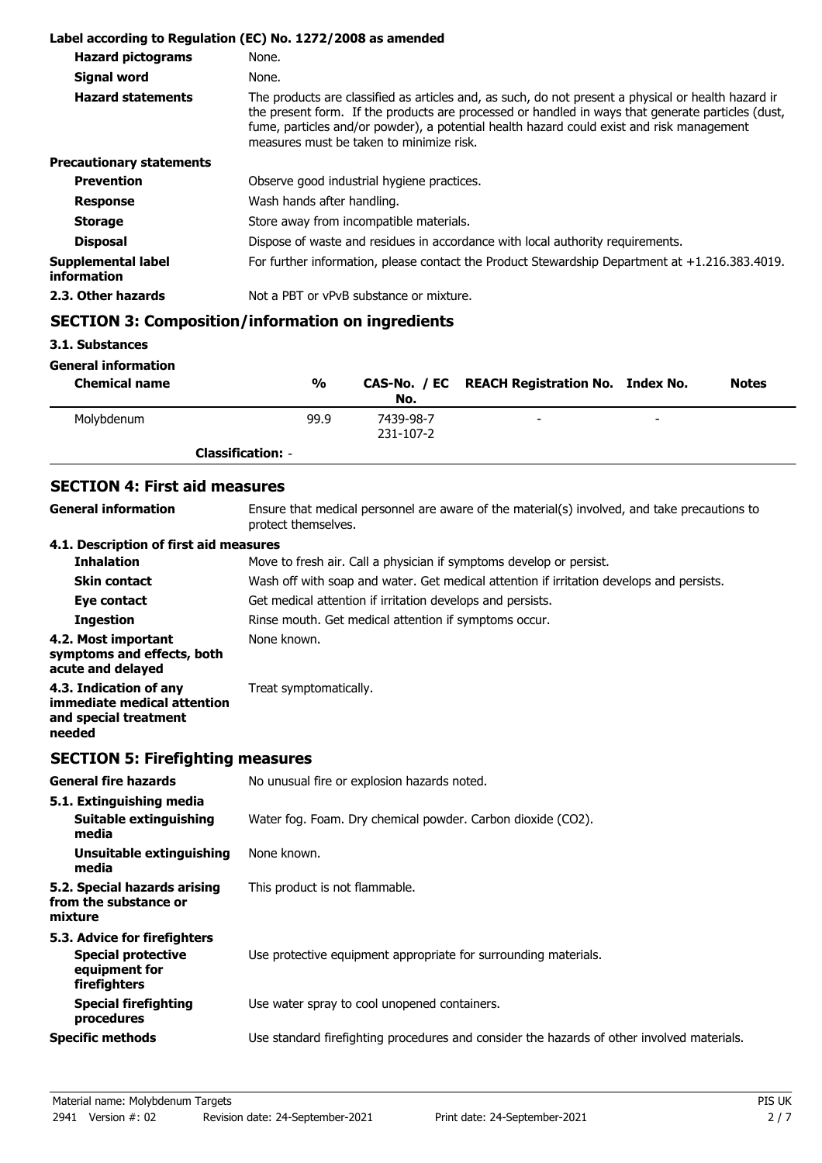|                                   | Label according to Regulation (EC) No. 1272/2008 as amended                                                                                                                                                                                                                                                                                       |
|-----------------------------------|---------------------------------------------------------------------------------------------------------------------------------------------------------------------------------------------------------------------------------------------------------------------------------------------------------------------------------------------------|
| <b>Hazard pictograms</b>          | None.                                                                                                                                                                                                                                                                                                                                             |
| <b>Signal word</b>                | None.                                                                                                                                                                                                                                                                                                                                             |
| <b>Hazard statements</b>          | The products are classified as articles and, as such, do not present a physical or health hazard ir<br>the present form. If the products are processed or handled in ways that generate particles (dust,<br>fume, particles and/or powder), a potential health hazard could exist and risk management<br>measures must be taken to minimize risk. |
| <b>Precautionary statements</b>   |                                                                                                                                                                                                                                                                                                                                                   |
| <b>Prevention</b>                 | Observe good industrial hygiene practices.                                                                                                                                                                                                                                                                                                        |
| <b>Response</b>                   | Wash hands after handling.                                                                                                                                                                                                                                                                                                                        |
| <b>Storage</b>                    | Store away from incompatible materials.                                                                                                                                                                                                                                                                                                           |
| <b>Disposal</b>                   | Dispose of waste and residues in accordance with local authority requirements.                                                                                                                                                                                                                                                                    |
| Supplemental label<br>information | For further information, please contact the Product Stewardship Department at $+1.216.383.4019$ .                                                                                                                                                                                                                                                 |
| 2.3. Other hazards                | Not a PBT or vPvB substance or mixture.                                                                                                                                                                                                                                                                                                           |
|                                   | $C$ E $C$ TIAN 3. $C$ emperition linformation on incrediants                                                                                                                                                                                                                                                                                      |

## **SECTION 3: Composition/information on ingredients**

**3.1. Substances**

**General information**

| <b>Chemical name</b> | $\frac{0}{0}$            | No.       | CAS-No. / EC REACH Registration No. Index No. |   | <b>Notes</b> |
|----------------------|--------------------------|-----------|-----------------------------------------------|---|--------------|
| Molybdenum           | 99.9                     | 7439-98-7 | -                                             | - |              |
|                      |                          | 231-107-2 |                                               |   |              |
|                      | <b>Classification: -</b> |           |                                               |   |              |

## **SECTION 4: First aid measures**

**General information**

Ensure that medical personnel are aware of the material(s) involved, and take precautions to protect themselves.

## **4.1. Description of first aid measures**

| <b>Inhalation</b>                                                                        | Move to fresh air. Call a physician if symptoms develop or persist.                      |
|------------------------------------------------------------------------------------------|------------------------------------------------------------------------------------------|
| <b>Skin contact</b>                                                                      | Wash off with soap and water. Get medical attention if irritation develops and persists. |
| Eye contact                                                                              | Get medical attention if irritation develops and persists.                               |
| <b>Ingestion</b>                                                                         | Rinse mouth. Get medical attention if symptoms occur.                                    |
| 4.2. Most important<br>symptoms and effects, both<br>acute and delayed                   | None known.                                                                              |
| 4.3. Indication of any<br>immediate medical attention<br>and special treatment<br>needed | Treat symptomatically.                                                                   |
|                                                                                          |                                                                                          |

## **SECTION 5: Firefighting measures**

| <b>General fire hazards</b>                                                                | No unusual fire or explosion hazards noted.                                                |
|--------------------------------------------------------------------------------------------|--------------------------------------------------------------------------------------------|
| 5.1. Extinguishing media<br>Suitable extinguishing<br>media                                | Water fog. Foam. Dry chemical powder. Carbon dioxide (CO2).                                |
| Unsuitable extinguishing<br>media                                                          | None known.                                                                                |
| 5.2. Special hazards arising<br>from the substance or<br>mixture                           | This product is not flammable.                                                             |
| 5.3. Advice for firefighters<br><b>Special protective</b><br>equipment for<br>firefighters | Use protective equipment appropriate for surrounding materials.                            |
| <b>Special firefighting</b><br>procedures                                                  | Use water spray to cool unopened containers.                                               |
| <b>Specific methods</b>                                                                    | Use standard firefighting procedures and consider the hazards of other involved materials. |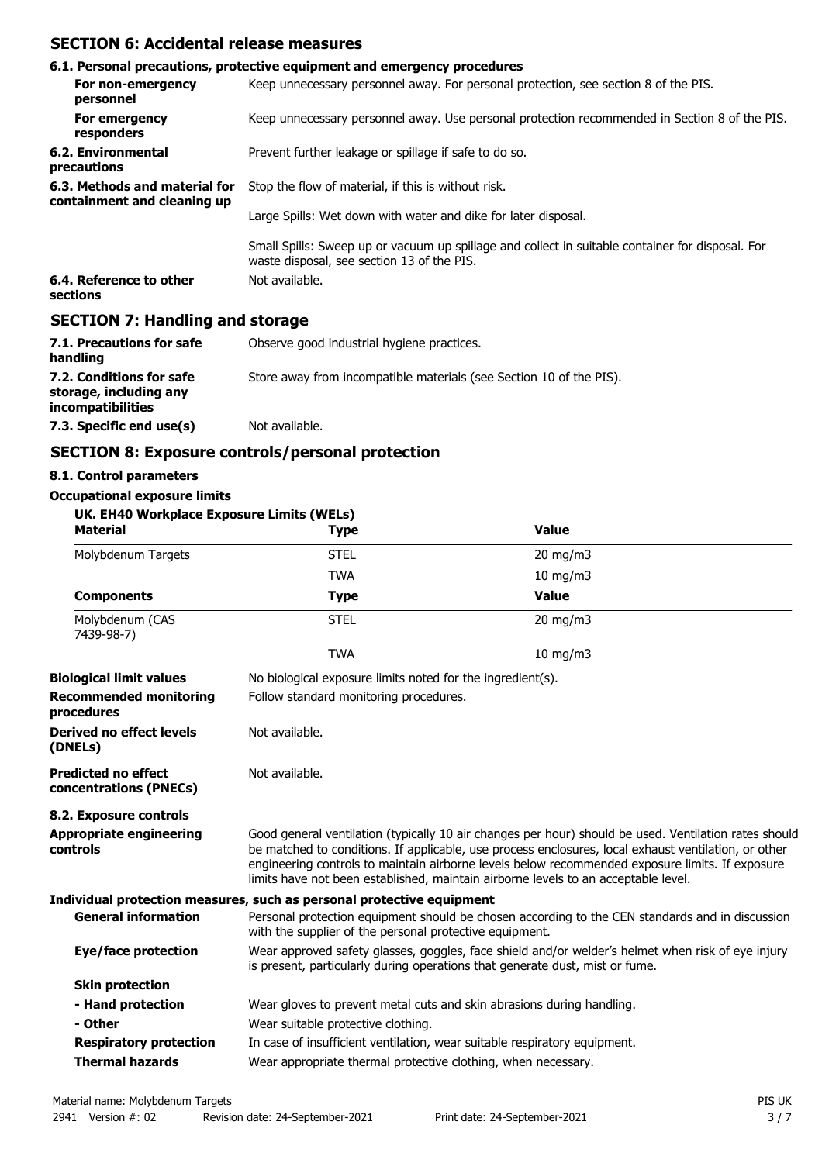## **SECTION 6: Accidental release measures**

|                                                              | 6.1. Personal precautions, protective equipment and emergency procedures                                                                       |
|--------------------------------------------------------------|------------------------------------------------------------------------------------------------------------------------------------------------|
| For non-emergency<br>personnel                               | Keep unnecessary personnel away. For personal protection, see section 8 of the PIS.                                                            |
| For emergency<br>responders                                  | Keep unnecessary personnel away. Use personal protection recommended in Section 8 of the PIS.                                                  |
| 6.2. Environmental<br>precautions                            | Prevent further leakage or spillage if safe to do so.                                                                                          |
| 6.3. Methods and material for<br>containment and cleaning up | Stop the flow of material, if this is without risk.                                                                                            |
|                                                              | Large Spills: Wet down with water and dike for later disposal.                                                                                 |
|                                                              | Small Spills: Sweep up or vacuum up spillage and collect in suitable container for disposal. For<br>waste disposal, see section 13 of the PIS. |
| 6.4. Reference to other<br>sections                          | Not available.                                                                                                                                 |
| <b>SECTION 7: Handling and storage</b>                       |                                                                                                                                                |

| 7.1. Precautions for safe<br>handling                                          | Observe good industrial hygiene practices.                          |
|--------------------------------------------------------------------------------|---------------------------------------------------------------------|
| 7.2. Conditions for safe<br>storage, including any<br><i>incompatibilities</i> | Store away from incompatible materials (see Section 10 of the PIS). |
| 7.3. Specific end use(s)                                                       | Not available.                                                      |

## **SECTION 8: Exposure controls/personal protection**

#### **8.1. Control parameters**

# **Occupational exposure limits**

| UK. EH40 Workplace Exposure Limits (WELs)<br><b>Material</b> | <b>Type</b>                                                                                                                                                                       | <b>Value</b>                                                                                                                                                                                                                                                                                                                                                                                           |  |  |
|--------------------------------------------------------------|-----------------------------------------------------------------------------------------------------------------------------------------------------------------------------------|--------------------------------------------------------------------------------------------------------------------------------------------------------------------------------------------------------------------------------------------------------------------------------------------------------------------------------------------------------------------------------------------------------|--|--|
| Molybdenum Targets                                           | <b>STEL</b>                                                                                                                                                                       | 20 mg/m3                                                                                                                                                                                                                                                                                                                                                                                               |  |  |
|                                                              | <b>TWA</b>                                                                                                                                                                        | $10 \text{ mg/m}$                                                                                                                                                                                                                                                                                                                                                                                      |  |  |
| <b>Components</b>                                            | <b>Type</b>                                                                                                                                                                       | <b>Value</b>                                                                                                                                                                                                                                                                                                                                                                                           |  |  |
| Molybdenum (CAS<br>7439-98-7)                                | <b>STEL</b>                                                                                                                                                                       | $20$ mg/m $3$                                                                                                                                                                                                                                                                                                                                                                                          |  |  |
|                                                              | <b>TWA</b>                                                                                                                                                                        | $10$ mg/m $3$                                                                                                                                                                                                                                                                                                                                                                                          |  |  |
| <b>Biological limit values</b>                               |                                                                                                                                                                                   | No biological exposure limits noted for the ingredient(s).                                                                                                                                                                                                                                                                                                                                             |  |  |
| <b>Recommended monitoring</b><br>procedures                  | Follow standard monitoring procedures.                                                                                                                                            |                                                                                                                                                                                                                                                                                                                                                                                                        |  |  |
| <b>Derived no effect levels</b><br>(DNELs)                   | Not available.                                                                                                                                                                    |                                                                                                                                                                                                                                                                                                                                                                                                        |  |  |
| <b>Predicted no effect</b><br>concentrations (PNECs)         | Not available.                                                                                                                                                                    |                                                                                                                                                                                                                                                                                                                                                                                                        |  |  |
| 8.2. Exposure controls                                       |                                                                                                                                                                                   |                                                                                                                                                                                                                                                                                                                                                                                                        |  |  |
| <b>Appropriate engineering</b><br>controls                   |                                                                                                                                                                                   | Good general ventilation (typically 10 air changes per hour) should be used. Ventilation rates should<br>be matched to conditions. If applicable, use process enclosures, local exhaust ventilation, or other<br>engineering controls to maintain airborne levels below recommended exposure limits. If exposure<br>limits have not been established, maintain airborne levels to an acceptable level. |  |  |
|                                                              | Individual protection measures, such as personal protective equipment                                                                                                             |                                                                                                                                                                                                                                                                                                                                                                                                        |  |  |
| <b>General information</b>                                   | Personal protection equipment should be chosen according to the CEN standards and in discussion<br>with the supplier of the personal protective equipment.                        |                                                                                                                                                                                                                                                                                                                                                                                                        |  |  |
| <b>Eye/face protection</b>                                   | Wear approved safety glasses, goggles, face shield and/or welder's helmet when risk of eye injury<br>is present, particularly during operations that generate dust, mist or fume. |                                                                                                                                                                                                                                                                                                                                                                                                        |  |  |
| <b>Skin protection</b>                                       |                                                                                                                                                                                   |                                                                                                                                                                                                                                                                                                                                                                                                        |  |  |
| - Hand protection                                            | Wear gloves to prevent metal cuts and skin abrasions during handling.                                                                                                             |                                                                                                                                                                                                                                                                                                                                                                                                        |  |  |
| - Other                                                      | Wear suitable protective clothing.                                                                                                                                                |                                                                                                                                                                                                                                                                                                                                                                                                        |  |  |
| <b>Respiratory protection</b>                                | In case of insufficient ventilation, wear suitable respiratory equipment.                                                                                                         |                                                                                                                                                                                                                                                                                                                                                                                                        |  |  |
| <b>Thermal hazards</b>                                       | Wear appropriate thermal protective clothing, when necessary.                                                                                                                     |                                                                                                                                                                                                                                                                                                                                                                                                        |  |  |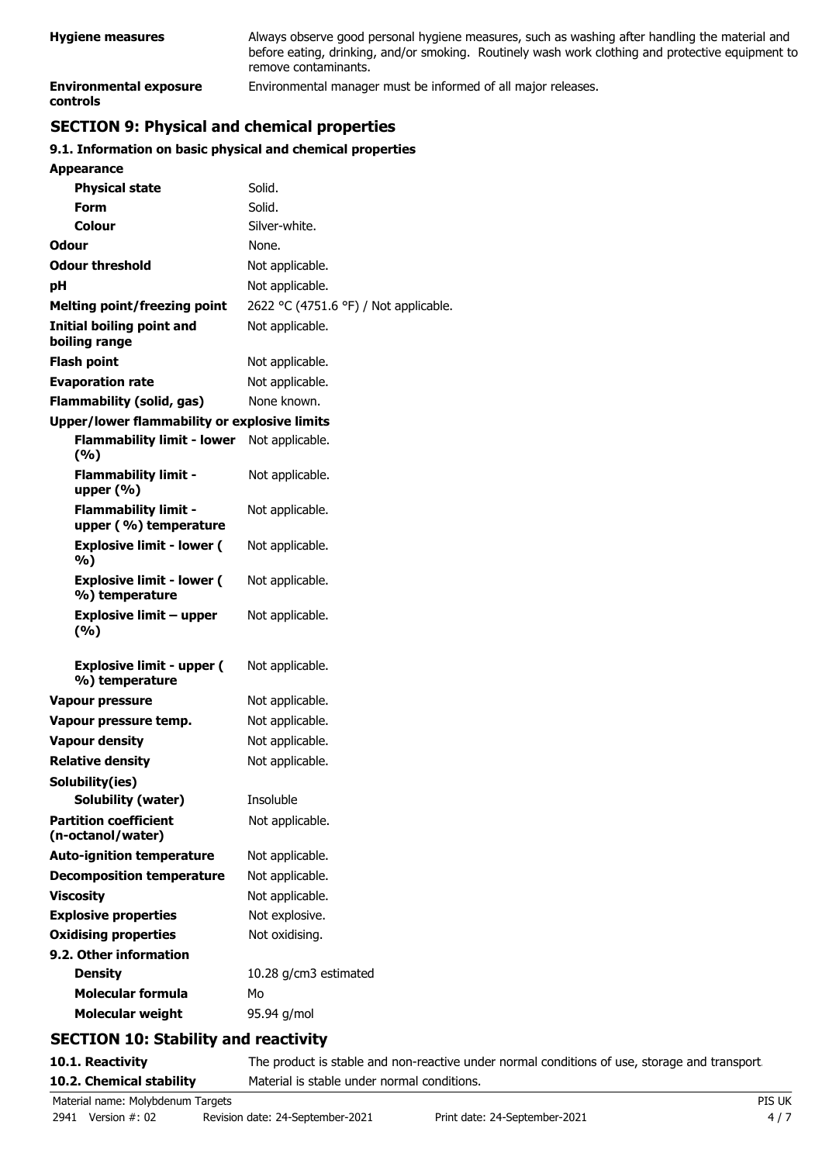| <b>Hygiene measures</b>                   | Always observe good personal hygiene measures, such as washing after handling the material and<br>before eating, drinking, and/or smoking. Routinely wash work clothing and protective equipment to<br>remove contaminants. |
|-------------------------------------------|-----------------------------------------------------------------------------------------------------------------------------------------------------------------------------------------------------------------------------|
| <b>Environmental exposure</b><br>controls | Environmental manager must be informed of all major releases.                                                                                                                                                               |

## **SECTION 9: Physical and chemical properties**

#### **9.1. Information on basic physical and chemical properties**

| <b>Appearance</b>                                    |                                       |
|------------------------------------------------------|---------------------------------------|
| <b>Physical state</b>                                | Solid.                                |
| <b>Form</b>                                          | Solid.                                |
| Colour                                               | Silver-white.                         |
| <b>Odour</b>                                         | None.                                 |
| <b>Odour threshold</b>                               | Not applicable.                       |
| рH                                                   | Not applicable.                       |
| <b>Melting point/freezing point</b>                  | 2622 °C (4751.6 °F) / Not applicable. |
| <b>Initial boiling point and</b><br>boiling range    | Not applicable.                       |
| <b>Flash point</b>                                   | Not applicable.                       |
| <b>Evaporation rate</b>                              | Not applicable.                       |
| <b>Flammability (solid, gas)</b>                     | None known.                           |
| <b>Upper/lower flammability or explosive limits</b>  |                                       |
| <b>Flammability limit - lower</b><br>(%)             | Not applicable.                       |
| <b>Flammability limit -</b><br>upper $(\% )$         | Not applicable.                       |
| <b>Flammability limit -</b><br>upper (%) temperature | Not applicable.                       |
| <b>Explosive limit - lower (</b><br>%)               | Not applicable.                       |
| <b>Explosive limit - lower (</b><br>%) temperature   | Not applicable.                       |
| <b>Explosive limit - upper</b><br>(%)                | Not applicable.                       |
| <b>Explosive limit - upper (</b><br>%) temperature   | Not applicable.                       |
| <b>Vapour pressure</b>                               | Not applicable.                       |
| Vapour pressure temp.                                | Not applicable.                       |
| <b>Vapour density</b>                                | Not applicable.                       |
| <b>Relative density</b>                              | Not applicable.                       |
| Solubility(ies)                                      |                                       |
| Solubility (water)                                   | Insoluble                             |
| <b>Partition coefficient</b><br>(n-octanol/water)    | Not applicable.                       |
| <b>Auto-ignition temperature</b>                     | Not applicable.                       |
| <b>Decomposition temperature</b>                     | Not applicable.                       |
| <b>Viscosity</b>                                     | Not applicable.                       |
| <b>Explosive properties</b>                          | Not explosive.                        |
| <b>Oxidising properties</b>                          | Not oxidising.                        |
| 9.2. Other information                               |                                       |
| <b>Density</b>                                       | 10.28 g/cm3 estimated                 |
| <b>Molecular formula</b>                             | Mo                                    |
| <b>Molecular weight</b>                              | 95.94 g/mol                           |

## **SECTION 10: Stability and reactivity**

10.1. Reactivity The product is stable and non-reactive under normal conditions of use, storage and transport. **10.2. Chemical stability** Material is stable under normal conditions.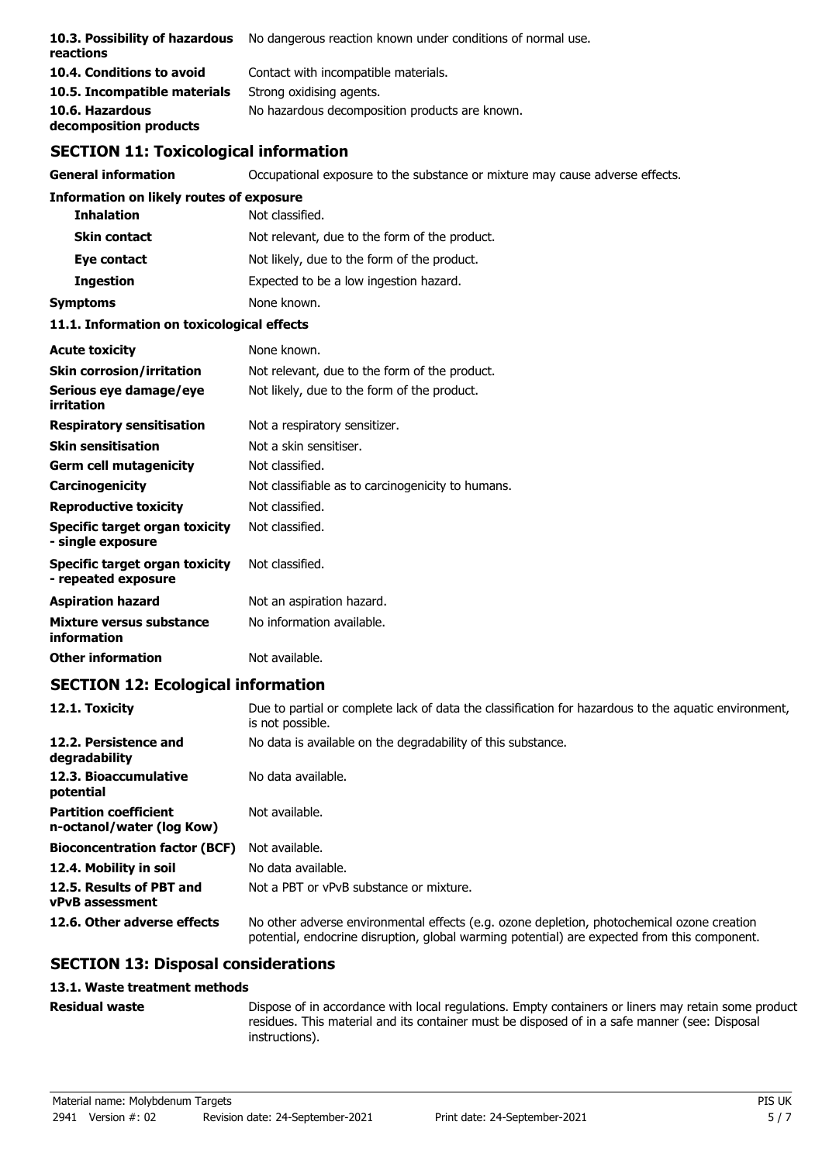| 10.3. Possibility of hazardous<br>reactions | No dangerous reaction known under conditions of normal use. |
|---------------------------------------------|-------------------------------------------------------------|
| 10.4. Conditions to avoid                   | Contact with incompatible materials.                        |
| 10.5. Incompatible materials                | Strong oxidising agents.                                    |
| 10.6. Hazardous<br>decomposition products   | No hazardous decomposition products are known.              |

## **SECTION 11: Toxicological information**

**General information C**CCUPATION OCCUPATION EXPOSURE to the substance or mixture may cause adverse effects. **Information on likely routes of exposure Inhalation** Not classified. **Skin contact** Not relevant, due to the form of the product. **Eye contact** Not likely, due to the form of the product. **Ingestion** Expected to be a low ingestion hazard. **Symptoms** None known. **11.1. Information on toxicological effects Acute toxicity** None known. **Skin corrosion/irritation** Not relevant, due to the form of the product. **Serious eye damage/eye** Not likely, due to the form of the product. **irritation Respiratory sensitisation** Not a respiratory sensitizer. **Skin sensitisation** Not a skin sensitiser. **Germ cell mutagenicity** Not classified. **Carcinogenicity** Not classifiable as to carcinogenicity to humans. **Reproductive toxicity** Not classified. **Specific target organ toxicity - single exposure** Not classified. **Specific target organ toxicity - repeated exposure** Not classified. **Aspiration hazard** Not an aspiration hazard. **Mixture versus substance** No information available. **information Other information** Not available.

## **SECTION 12: Ecological information**

| 12.1. Toxicity                                            | Due to partial or complete lack of data the classification for hazardous to the aquatic environment,<br>is not possible.                                                                   |
|-----------------------------------------------------------|--------------------------------------------------------------------------------------------------------------------------------------------------------------------------------------------|
| 12.2. Persistence and<br>degradability                    | No data is available on the degradability of this substance.                                                                                                                               |
| 12.3. Bioaccumulative<br>potential                        | No data available.                                                                                                                                                                         |
| <b>Partition coefficient</b><br>n-octanol/water (log Kow) | Not available.                                                                                                                                                                             |
| <b>Bioconcentration factor (BCF)</b>                      | Not available.                                                                                                                                                                             |
| 12.4. Mobility in soil                                    | No data available.                                                                                                                                                                         |
| 12.5. Results of PBT and<br><b>vPvB</b> assessment        | Not a PBT or vPvB substance or mixture.                                                                                                                                                    |
| 12.6. Other adverse effects                               | No other adverse environmental effects (e.g. ozone depletion, photochemical ozone creation<br>potential, endocrine disruption, global warming potential) are expected from this component. |

## **SECTION 13: Disposal considerations**

#### **13.1. Waste treatment methods**

**Residual waste**

Dispose of in accordance with local regulations. Empty containers or liners may retain some product residues. This material and its container must be disposed of in a safe manner (see: Disposal instructions).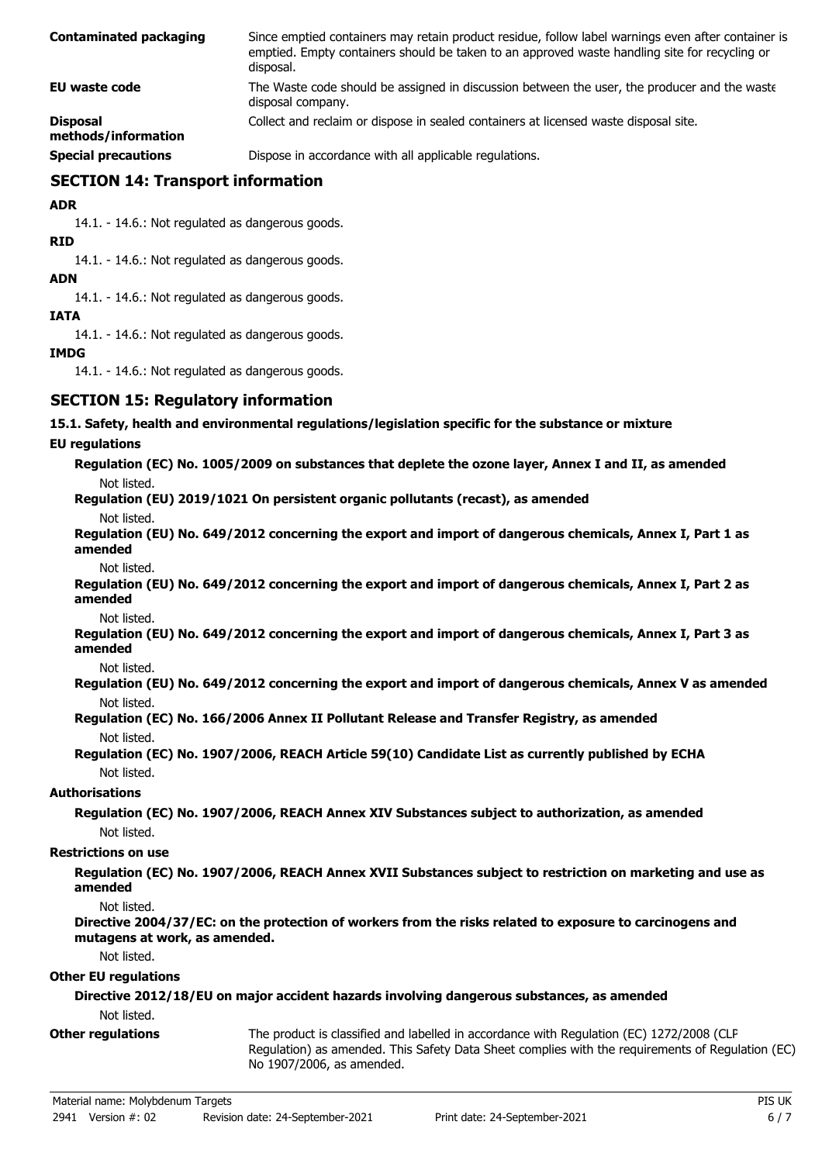| <b>Contaminated packaging</b>          | Since emptied containers may retain product residue, follow label warnings even after container is<br>emptied. Empty containers should be taken to an approved waste handling site for recycling or<br>disposal. |
|----------------------------------------|------------------------------------------------------------------------------------------------------------------------------------------------------------------------------------------------------------------|
| EU waste code                          | The Waste code should be assigned in discussion between the user, the producer and the waste<br>disposal company.                                                                                                |
| <b>Disposal</b><br>methods/information | Collect and reclaim or dispose in sealed containers at licensed waste disposal site.                                                                                                                             |
| <b>Special precautions</b>             | Dispose in accordance with all applicable regulations.                                                                                                                                                           |

**SECTION 14: Transport information**

**ADR**

14.1. - 14.6.: Not regulated as dangerous goods.

**RID**

14.1. - 14.6.: Not regulated as dangerous goods.

**ADN**

14.1. - 14.6.: Not regulated as dangerous goods.

#### **IATA**

14.1. - 14.6.: Not regulated as dangerous goods.

#### **IMDG**

14.1. - 14.6.: Not regulated as dangerous goods.

## **SECTION 15: Regulatory information**

#### **15.1. Safety, health and environmental regulations/legislation specific for the substance or mixture**

#### **EU regulations**

**Regulation (EC) No. 1005/2009 on substances that deplete the ozone layer, Annex I and II, as amended** Not listed.

**Regulation (EU) 2019/1021 On persistent organic pollutants (recast), as amended**

Not listed.

**Regulation (EU) No. 649/2012 concerning the export and import of dangerous chemicals, Annex I, Part 1 as amended**

Not listed.

**Regulation (EU) No. 649/2012 concerning the export and import of dangerous chemicals, Annex I, Part 2 as amended**

Not listed.

**Regulation (EU) No. 649/2012 concerning the export and import of dangerous chemicals, Annex I, Part 3 as amended**

Not listed.

**Regulation (EU) No. 649/2012 concerning the export and import of dangerous chemicals, Annex V as amended** Not listed.

**Regulation (EC) No. 166/2006 Annex II Pollutant Release and Transfer Registry, as amended** Not listed.

#### **Regulation (EC) No. 1907/2006, REACH Article 59(10) Candidate List as currently published by ECHA** Not listed.

#### **Authorisations**

**Regulation (EC) No. 1907/2006, REACH Annex XIV Substances subject to authorization, as amended** Not listed.

#### **Restrictions on use**

**Regulation (EC) No. 1907/2006, REACH Annex XVII Substances subject to restriction on marketing and use as amended**

Not listed.

**Directive 2004/37/EC: on the protection of workers from the risks related to exposure to carcinogens and mutagens at work, as amended.**

Not listed.

#### **Other EU regulations**

**Directive 2012/18/EU on major accident hazards involving dangerous substances, as amended** Not listed.

**Other regulations**

The product is classified and labelled in accordance with Regulation (EC) 1272/2008 (CLP Regulation) as amended. This Safety Data Sheet complies with the requirements of Regulation (EC) No 1907/2006, as amended.